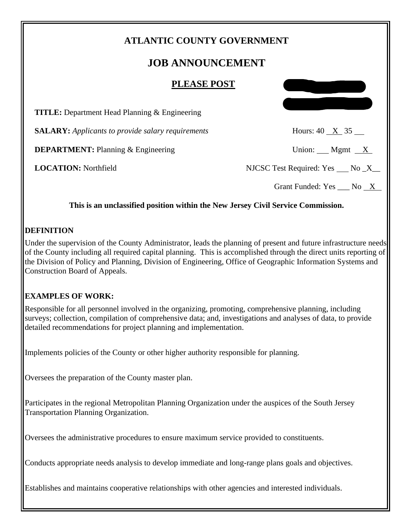# **ATLANTIC COUNTY GOVERNMENT**

# **JOB ANNOUNCEMENT**

#### **PLEASE POST**

| <b>TITLE:</b> Department Head Planning & Engineering     |                                                 |
|----------------------------------------------------------|-------------------------------------------------|
| <b>SALARY:</b> Applicants to provide salary requirements | Hours: $40 \times 35$                           |
| <b>DEPARTMENT:</b> Planning & Engineering                | Union: Mgmt $X$                                 |
| <b>LOCATION:</b> Northfield                              | NJCSC Test Required: Yes $\qquad$ No $\angle$ X |
|                                                          | Grant Funded: Yes No X                          |

#### **This is an unclassified position within the New Jersey Civil Service Commission.**

#### **DEFINITION**

Under the supervision of the County Administrator, leads the planning of present and future infrastructure needs of the County including all required capital planning. This is accomplished through the direct units reporting of the Division of Policy and Planning, Division of Engineering, Office of Geographic Information Systems and Construction Board of Appeals.

#### **EXAMPLES OF WORK:**

Responsible for all personnel involved in the organizing, promoting, comprehensive planning, including surveys; collection, compilation of comprehensive data; and, investigations and analyses of data, to provide detailed recommendations for project planning and implementation.

Implements policies of the County or other higher authority responsible for planning.

Oversees the preparation of the County master plan.

Participates in the regional Metropolitan Planning Organization under the auspices of the South Jersey Transportation Planning Organization.

Oversees the administrative procedures to ensure maximum service provided to constituents.

Conducts appropriate needs analysis to develop immediate and long-range plans goals and objectives.

Establishes and maintains cooperative relationships with other agencies and interested individuals.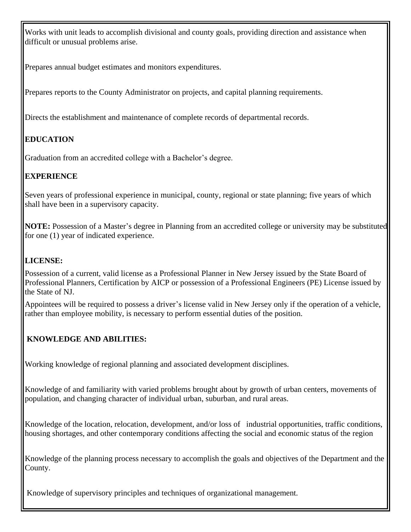Works with unit leads to accomplish divisional and county goals, providing direction and assistance when difficult or unusual problems arise.

Prepares annual budget estimates and monitors expenditures.

Prepares reports to the County Administrator on projects, and capital planning requirements.

Directs the establishment and maintenance of complete records of departmental records.

# **EDUCATION**

Graduation from an accredited college with a Bachelor's degree.

### **EXPERIENCE**

Seven years of professional experience in municipal, county, regional or state planning; five years of which shall have been in a supervisory capacity.

**NOTE:** Possession of a Master's degree in Planning from an accredited college or university may be substituted for one (1) year of indicated experience.

### **LICENSE:**

Possession of a current, valid license as a Professional Planner in New Jersey issued by the State Board of Professional Planners, Certification by AICP or possession of a Professional Engineers (PE) License issued by the State of NJ.

Appointees will be required to possess a driver's license valid in New Jersey only if the operation of a vehicle, rather than employee mobility, is necessary to perform essential duties of the position.

## **KNOWLEDGE AND ABILITIES:**

Working knowledge of regional planning and associated development disciplines.

Knowledge of and familiarity with varied problems brought about by growth of urban centers, movements of population, and changing character of individual urban, suburban, and rural areas.

Knowledge of the location, relocation, development, and/or loss of industrial opportunities, traffic conditions, housing shortages, and other contemporary conditions affecting the social and economic status of the region

Knowledge of the planning process necessary to accomplish the goals and objectives of the Department and the County.

Knowledge of supervisory principles and techniques of organizational management.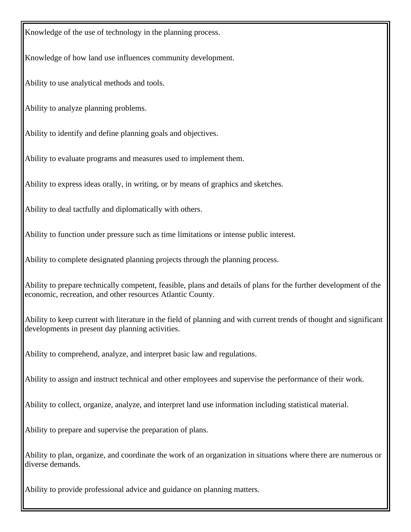Knowledge of the use of technology in the planning process.

Knowledge of how land use influences community development.

Ability to use analytical methods and tools.

Ability to analyze planning problems.

Ability to identify and define planning goals and objectives.

Ability to evaluate programs and measures used to implement them.

Ability to express ideas orally, in writing, or by means of graphics and sketches.

Ability to deal tactfully and diplomatically with others.

Ability to function under pressure such as time limitations or intense public interest.

Ability to complete designated planning projects through the planning process.

Ability to prepare technically competent, feasible, plans and details of plans for the further development of the economic, recreation, and other resources Atlantic County.

Ability to keep current with literature in the field of planning and with current trends of thought and significant developments in present day planning activities.

Ability to comprehend, analyze, and interpret basic law and regulations.

Ability to assign and instruct technical and other employees and supervise the performance of their work.

Ability to collect, organize, analyze, and interpret land use information including statistical material.

Ability to prepare and supervise the preparation of plans.

Ability to plan, organize, and coordinate the work of an organization in situations where there are numerous or diverse demands.

Ability to provide professional advice and guidance on planning matters.